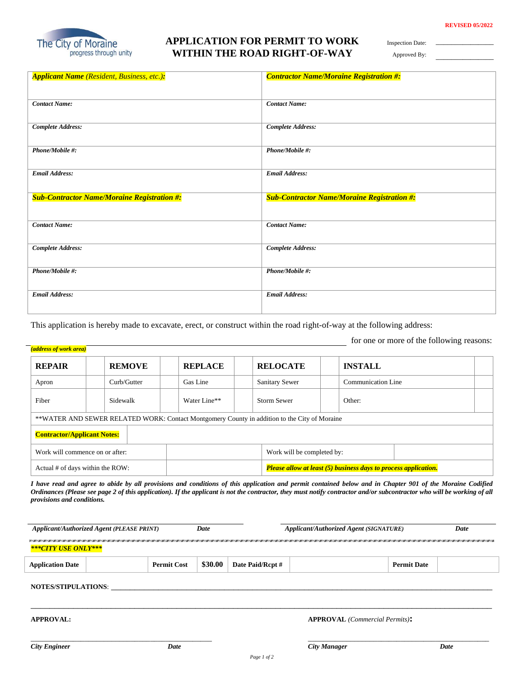\_\_\_\_\_\_\_\_\_\_\_\_\_\_\_ \_\_\_\_\_\_\_\_\_\_\_\_\_\_\_



## **APPLICATION FOR PERMIT TO WORK WITHIN THE ROAD RIGHT-OF-WAY**

Inspection Date:

Approved By:

| <b>Applicant Name</b> (Resident, Business, etc.):  | <b>Contractor Name/Moraine Registration #:</b>     |
|----------------------------------------------------|----------------------------------------------------|
|                                                    |                                                    |
| <b>Contact Name:</b>                               | <b>Contact Name:</b>                               |
| <b>Complete Address:</b>                           | <b>Complete Address:</b>                           |
|                                                    |                                                    |
| Phone/Mobile #:                                    | Phone/Mobile #:                                    |
|                                                    |                                                    |
| <b>Email Address:</b>                              | <b>Email Address:</b>                              |
|                                                    |                                                    |
|                                                    |                                                    |
| <b>Sub-Contractor Name/Moraine Registration #:</b> | <b>Sub-Contractor Name/Moraine Registration #:</b> |
|                                                    |                                                    |
| <b>Contact Name:</b>                               | <b>Contact Name:</b>                               |
|                                                    |                                                    |
| <b>Complete Address:</b>                           | <b>Complete Address:</b>                           |
|                                                    |                                                    |
| Phone/Mobile #:                                    | Phone/Mobile #:                                    |
|                                                    |                                                    |
| <b>Email Address:</b>                              | <b>Email Address:</b>                              |

This application is hereby made to excavate, erect, or construct within the road right-of-way at the following address:

|  | (address of work area) |
|--|------------------------|

for one or more of the following reasons:

| <b>REPAIR</b>                                                                                | <b>REMOVE</b> |             |  | <b>REPLACE</b>             | <b>RELOCATE</b>                                                 |  | <b>INSTALL</b>            |
|----------------------------------------------------------------------------------------------|---------------|-------------|--|----------------------------|-----------------------------------------------------------------|--|---------------------------|
| Apron                                                                                        |               | Curb/Gutter |  | Gas Line                   | <b>Sanitary Sewer</b>                                           |  | <b>Communication Line</b> |
| Fiber                                                                                        | Sidewalk      |             |  | Water Line**               | <b>Storm Sewer</b>                                              |  | Other:                    |
| **WATER AND SEWER RELATED WORK: Contact Montgomery County in addition to the City of Moraine |               |             |  |                            |                                                                 |  |                           |
| <b>Contractor/Applicant Notes:</b>                                                           |               |             |  |                            |                                                                 |  |                           |
| Work will commence on or after:                                                              |               |             |  | Work will be completed by: |                                                                 |  |                           |
| Actual # of days within the ROW:                                                             |               |             |  |                            | Please allow at least (5) business days to process application. |  |                           |

*I have read and agree to abide by all provisions and conditions of this application and permit contained below and in Chapter 901 of the Moraine Codified Ordinances (Please see page 2 of this application). If the applicant is not the contractor, they must notify contractor and/or subcontractor who will be working of all provisions and conditions.*

|                            | <b>Applicant/Authorized Agent (PLEASE PRINT)</b> |                    | Date    |                  | Applicant/Authorized Agent (SIGNATURE) | Date               |      |
|----------------------------|--------------------------------------------------|--------------------|---------|------------------|----------------------------------------|--------------------|------|
| ***CITY USE ONLY***        |                                                  |                    |         |                  |                                        |                    |      |
| <b>Application Date</b>    |                                                  | <b>Permit Cost</b> | \$30.00 | Date Paid/Rcpt # |                                        | <b>Permit Date</b> |      |
| <b>NOTES/STIPULATIONS:</b> |                                                  |                    |         |                  |                                        |                    |      |
| <b>APPROVAL:</b>           |                                                  |                    |         |                  | <b>APPROVAL</b> (Commercial Permits):  |                    |      |
| <b>City Engineer</b>       |                                                  | <b>Date</b>        |         |                  | <b>City Manager</b>                    |                    | Date |